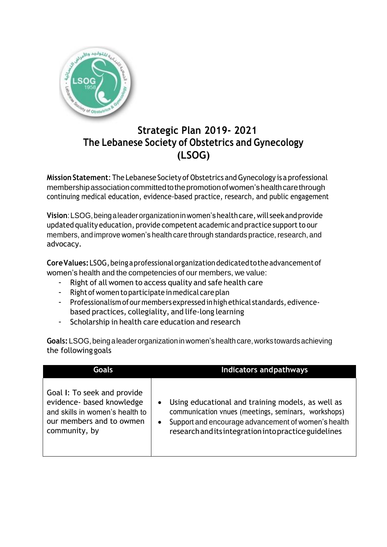

## **Strategic Plan 2019- 2021 The Lebanese Society of Obstetrics and Gynecology (LSOG)**

**Mission Statement:** The Lebanese Society of Obstetrics and Gynecology is a professional membership association committed to the promotion of women's health care through continuing medical education, evidence-based practice, research, and public engagement

**Vision**:LSOG,beingaleaderorganizationinwomen'shealthcare,will seekandprovide updated quality education, provide competent academic and practice support to our members, and improve women's health care through standards practice, research, and advocacy.

**CoreValues:**LSOG,beingaprofessionalorganizationdedicatedtotheadvancementof women's health and the competencies of our members, we value:

- Right of all women to access quality and safe health care
- Right of women to participate in medical care plan
- Professionalism of our members expressed in high ethical standards, edivencebased practices, collegiality, and life-long learning
- Scholarship in health care education and research

**Goals:**LSOG,beingaleaderorganization inwomen'shealth care,works towardsachieving the following goals

| <b>Goals</b>                                                                                                                             | <b>Indicators andpathways</b>                                                                                                                                                                                                                      |
|------------------------------------------------------------------------------------------------------------------------------------------|----------------------------------------------------------------------------------------------------------------------------------------------------------------------------------------------------------------------------------------------------|
| Goal I: To seek and provide<br>evidence- based knowledge<br>and skills in women's health to<br>our members and to owmen<br>community, by | Using educational and training models, as well as<br>$\bullet$<br>communication vnues (meetings, seminars, workshops)<br>Support and encourage advancement of women's health<br>$\bullet$<br>research and its integration into practice guidelines |